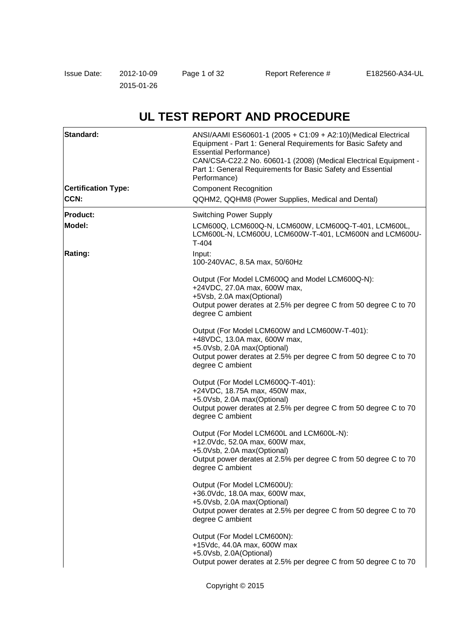# **UL TEST REPORT AND PROCEDURE**

| Standard:                  | ANSI/AAMI ES60601-1 (2005 + C1:09 + A2:10)(Medical Electrical<br>Equipment - Part 1: General Requirements for Basic Safety and<br><b>Essential Performance)</b><br>CAN/CSA-C22.2 No. 60601-1 (2008) (Medical Electrical Equipment -<br>Part 1: General Requirements for Basic Safety and Essential<br>Performance) |
|----------------------------|--------------------------------------------------------------------------------------------------------------------------------------------------------------------------------------------------------------------------------------------------------------------------------------------------------------------|
| <b>Certification Type:</b> | <b>Component Recognition</b>                                                                                                                                                                                                                                                                                       |
| CCN:                       | QQHM2, QQHM8 (Power Supplies, Medical and Dental)                                                                                                                                                                                                                                                                  |
| <b>Product:</b>            | <b>Switching Power Supply</b>                                                                                                                                                                                                                                                                                      |
| Model:                     | LCM600Q, LCM600Q-N, LCM600W, LCM600Q-T-401, LCM600L,<br>LCM600L-N, LCM600U, LCM600W-T-401, LCM600N and LCM600U-<br>$T-404$                                                                                                                                                                                         |
| <b>Rating:</b>             | Input:<br>100-240VAC, 8.5A max, 50/60Hz                                                                                                                                                                                                                                                                            |
|                            | Output (For Model LCM600Q and Model LCM600Q-N):<br>+24VDC, 27.0A max, 600W max,<br>+5Vsb, 2.0A max(Optional)<br>Output power derates at 2.5% per degree C from 50 degree C to 70<br>degree C ambient                                                                                                               |
|                            | Output (For Model LCM600W and LCM600W-T-401):<br>+48VDC, 13.0A max, 600W max,<br>+5.0Vsb, 2.0A max(Optional)<br>Output power derates at 2.5% per degree C from 50 degree C to 70<br>degree C ambient                                                                                                               |
|                            | Output (For Model LCM600Q-T-401):<br>+24VDC, 18.75A max, 450W max,<br>+5.0Vsb, 2.0A max(Optional)<br>Output power derates at 2.5% per degree C from 50 degree C to 70<br>degree C ambient                                                                                                                          |
|                            | Output (For Model LCM600L and LCM600L-N):<br>+12.0Vdc, 52.0A max, 600W max,<br>+5.0Vsb, 2.0A max(Optional)<br>Output power derates at 2.5% per degree C from 50 degree C to 70<br>degree C ambient                                                                                                                 |
|                            | Output (For Model LCM600U):<br>+36.0Vdc, 18.0A max, 600W max,<br>+5.0Vsb, 2.0A max(Optional)<br>Output power derates at 2.5% per degree C from 50 degree C to 70<br>degree C ambient                                                                                                                               |
|                            | Output (For Model LCM600N):<br>+15Vdc, 44.0A max, 600W max<br>+5.0Vsb, 2.0A(Optional)<br>Output power derates at 2.5% per degree C from 50 degree C to 70                                                                                                                                                          |

Copyright © 2015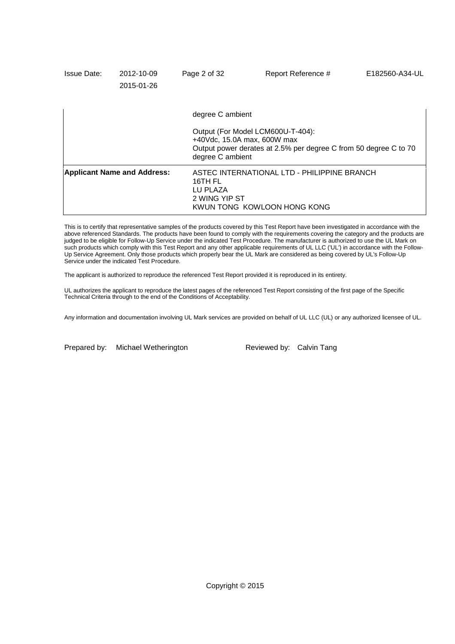| <b>Issue Date:</b> | 2012-10-09<br>2015-01-26           | Page 2 of 32                         | Report Reference #                                                                                                                                          | E182560-A34-UL |  |
|--------------------|------------------------------------|--------------------------------------|-------------------------------------------------------------------------------------------------------------------------------------------------------------|----------------|--|
|                    |                                    | degree C ambient                     |                                                                                                                                                             |                |  |
|                    |                                    |                                      | Output (For Model LCM600U-T-404):<br>$+40$ Vdc, 15.0A max, 600W max<br>Output power derates at 2.5% per degree C from 50 degree C to 70<br>degree C ambient |                |  |
|                    | <b>Applicant Name and Address:</b> | 16TH FL<br>LU PLAZA<br>2 WING YIP ST | ASTEC INTERNATIONAL LTD - PHILIPPINE BRANCH<br>KWUN TONG KOWLOON HONG KONG                                                                                  |                |  |

This is to certify that representative samples of the products covered by this Test Report have been investigated in accordance with the above referenced Standards. The products have been found to comply with the requirements covering the category and the products are judged to be eligible for Follow-Up Service under the indicated Test Procedure. The manufacturer is authorized to use the UL Mark on such products which comply with this Test Report and any other applicable requirements of UL LLC ('UL') in accordance with the Follow-Up Service Agreement. Only those products which properly bear the UL Mark are considered as being covered by UL's Follow-Up Service under the indicated Test Procedure.

The applicant is authorized to reproduce the referenced Test Report provided it is reproduced in its entirety.

UL authorizes the applicant to reproduce the latest pages of the referenced Test Report consisting of the first page of the Specific Technical Criteria through to the end of the Conditions of Acceptability.

Any information and documentation involving UL Mark services are provided on behalf of UL LLC (UL) or any authorized licensee of UL.

Prepared by: Michael Wetherington Reviewed by: Calvin Tang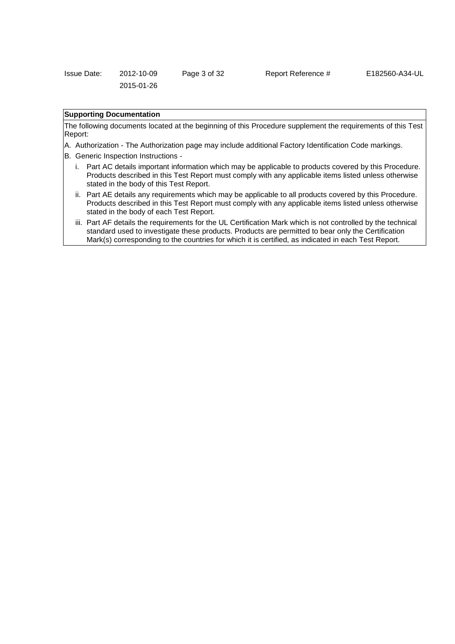| Issue Date: | 2012-10-09 | Page 3 of 32 |
|-------------|------------|--------------|
|             | 2015-01-26 |              |

### Report Reference # E182560-A34-UL

## **Supporting Documentation**

The following documents located at the beginning of this Procedure supplement the requirements of this Test Report:

- A. Authorization The Authorization page may include additional Factory Identification Code markings.
- B. Generic Inspection Instructions
	- i. Part AC details important information which may be applicable to products covered by this Procedure. Products described in this Test Report must comply with any applicable items listed unless otherwise stated in the body of this Test Report.
	- ii. Part AE details any requirements which may be applicable to all products covered by this Procedure. Products described in this Test Report must comply with any applicable items listed unless otherwise stated in the body of each Test Report.
	- iii. Part AF details the requirements for the UL Certification Mark which is not controlled by the technical standard used to investigate these products. Products are permitted to bear only the Certification Mark(s) corresponding to the countries for which it is certified, as indicated in each Test Report.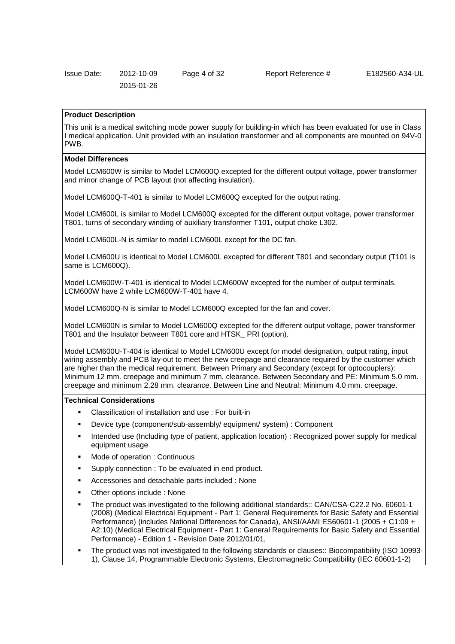| <b>Issue Date:</b> | 2012-10-09 | Page 4 of 32 |  |
|--------------------|------------|--------------|--|
|                    | 2015-01-26 |              |  |

#### **Product Description**

This unit is a medical switching mode power supply for building-in which has been evaluated for use in Class I medical application. Unit provided with an insulation transformer and all components are mounted on 94V-0 PWB.

#### **Model Differences**

Model LCM600W is similar to Model LCM600Q excepted for the different output voltage, power transformer and minor change of PCB layout (not affecting insulation).

Model LCM600Q-T-401 is similar to Model LCM600Q excepted for the output rating.

Model LCM600L is similar to Model LCM600Q excepted for the different output voltage, power transformer T801, turns of secondary winding of auxiliary transformer T101, output choke L302.

Model LCM600L-N is similar to model LCM600L except for the DC fan.

Model LCM600U is identical to Model LCM600L excepted for different T801 and secondary output (T101 is same is LCM600Q).

Model LCM600W-T-401 is identical to Model LCM600W excepted for the number of output terminals. LCM600W have 2 while LCM600W-T-401 have 4.

Model LCM600Q-N is similar to Model LCM600Q excepted for the fan and cover.

Model LCM600N is similar to Model LCM600Q excepted for the different output voltage, power transformer T801 and the Insulator between T801 core and HTSK\_ PRI (option).

Model LCM600U-T-404 is identical to Model LCM600U except for model designation, output rating, input wiring assembly and PCB lay-out to meet the new creepage and clearance required by the customer which are higher than the medical requirement. Between Primary and Secondary (except for optocouplers): Minimum 12 mm. creepage and minimum 7 mm. clearance. Between Secondary and PE: Minimum 5.0 mm. creepage and minimum 2.28 mm. clearance. Between Line and Neutral: Minimum 4.0 mm. creepage.

#### **Technical Considerations**

- Classification of installation and use : For built-in
- Device type (component/sub-assembly/ equipment/ system) : Component
- Intended use (Including type of patient, application location) : Recognized power supply for medical equipment usage
- Mode of operation : Continuous
- Supply connection : To be evaluated in end product.
- Accessories and detachable parts included : None
- Other options include : None
- The product was investigated to the following additional standards:: CAN/CSA-C22.2 No. 60601-1 (2008) (Medical Electrical Equipment - Part 1: General Requirements for Basic Safety and Essential Performance) (includes National Differences for Canada), ANSI/AAMI ES60601-1 (2005 + C1:09 + A2:10) (Medical Electrical Equipment - Part 1: General Requirements for Basic Safety and Essential Performance) - Edition 1 - Revision Date 2012/01/01,
- The product was not investigated to the following standards or clauses:: Biocompatibility (ISO 10993- 1), Clause 14, Programmable Electronic Systems, Electromagnetic Compatibility (IEC 60601-1-2)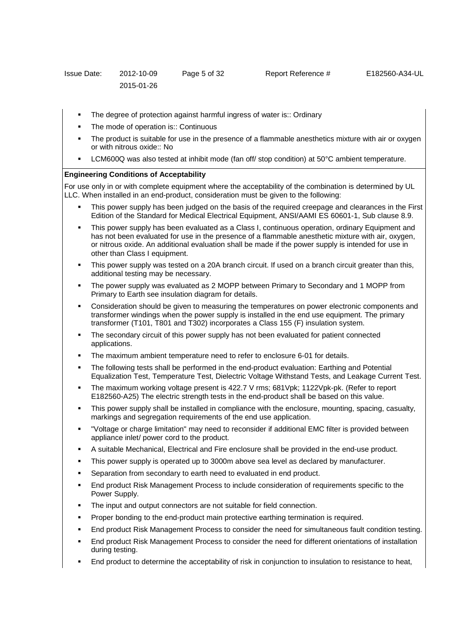- The degree of protection against harmful ingress of water is:: Ordinary
- The mode of operation is:: Continuous
- The product is suitable for use in the presence of a flammable anesthetics mixture with air or oxygen or with nitrous oxide:: No
- LCM600Q was also tested at inhibit mode (fan off/ stop condition) at 50°C ambient temperature.

#### **Engineering Conditions of Acceptability**

For use only in or with complete equipment where the acceptability of the combination is determined by UL LLC. When installed in an end-product, consideration must be given to the following:

- This power supply has been judged on the basis of the required creepage and clearances in the First Edition of the Standard for Medical Electrical Equipment, ANSI/AAMI ES 60601-1, Sub clause 8.9.
- This power supply has been evaluated as a Class I, continuous operation, ordinary Equipment and has not been evaluated for use in the presence of a flammable anesthetic mixture with air, oxygen, or nitrous oxide. An additional evaluation shall be made if the power supply is intended for use in other than Class I equipment.
- This power supply was tested on a 20A branch circuit. If used on a branch circuit greater than this, additional testing may be necessary.
- The power supply was evaluated as 2 MOPP between Primary to Secondary and 1 MOPP from Primary to Earth see insulation diagram for details.
- Consideration should be given to measuring the temperatures on power electronic components and transformer windings when the power supply is installed in the end use equipment. The primary transformer (T101, T801 and T302) incorporates a Class 155 (F) insulation system.
- The secondary circuit of this power supply has not been evaluated for patient connected applications.
- The maximum ambient temperature need to refer to enclosure 6-01 for details.
- The following tests shall be performed in the end-product evaluation: Earthing and Potential Equalization Test, Temperature Test, Dielectric Voltage Withstand Tests, and Leakage Current Test.
- The maximum working voltage present is 422.7 V rms; 681Vpk; 1122Vpk-pk. (Refer to report E182560-A25) The electric strength tests in the end-product shall be based on this value.
- This power supply shall be installed in compliance with the enclosure, mounting, spacing, casualty, markings and segregation requirements of the end use application.
- "Voltage or charge limitation" may need to reconsider if additional EMC filter is provided between appliance inlet/ power cord to the product.
- A suitable Mechanical, Electrical and Fire enclosure shall be provided in the end-use product.
- This power supply is operated up to 3000m above sea level as declared by manufacturer.
- Separation from secondary to earth need to evaluated in end product.
- End product Risk Management Process to include consideration of requirements specific to the Power Supply.
- The input and output connectors are not suitable for field connection.
- Proper bonding to the end-product main protective earthing termination is required.
- End product Risk Management Process to consider the need for simultaneous fault condition testing.
- End product Risk Management Process to consider the need for different orientations of installation during testing.
- End product to determine the acceptability of risk in conjunction to insulation to resistance to heat,